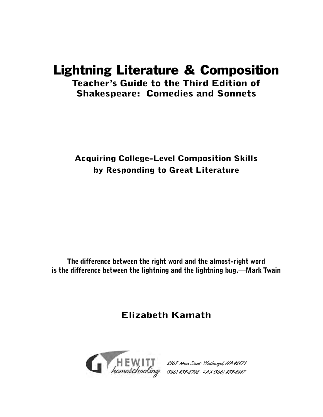# Lightning Literature & Composition **Teacher's Guide to the Third Edition of**

**Shakespeare: Comedies and Sonnets**

**Acquiring College-Level Composition Skills by Responding to Great Literature**

**The difference between the right word and the almost-right word is the difference between the lightning and the lightning bug.—Mark Twain**

**Elizabeth Kamath**



 $21.9$  Main Street was  $\frac{1}{2}$  $(36, 37, 37, 38, 35)$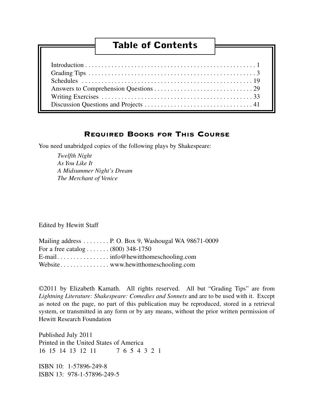# **Table of Contents**

### REQUIRED BOOKS FOR THIS COURSE

You need unabridged copies of the following plays by Shakespeare:

*Twelfth Night As You Like It A Midsummer Night's Dream The Merchant of Venice*

Edited by Hewitt Staff

|                                     | Mailing address P. O. Box 9, Washougal WA 98671-0009 |
|-------------------------------------|------------------------------------------------------|
| For a free catalog $(800)$ 348-1750 |                                                      |
|                                     |                                                      |
|                                     |                                                      |

©2011 by Elizabeth Kamath. All rights reserved. All but "Grading Tips" are from *Lightning Literature: Shakespeare: Comedies and Sonnets* and are to be used with it. Except as noted on the page, no part of this publication may be reproduced, stored in a retrieval system, or transmitted in any form or by any means, without the prior written permission of Hewitt Research Foundation

Published July 2011 Printed in the United States of America 16 15 14 13 12 11 7 6 5 4 3 2 1

ISBN 10: 1-57896-249-8 ISBN 13: 978-1-57896-249-5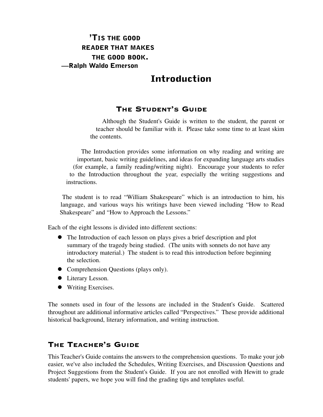# **'TIS THE GOOD READER THAT MAKES THE GOOD BOOK. —Ralph Waldo Emerson**

# **Introduction**

# THE STUDENT'S GUIDE

Although the Student's Guide is written to the student, the parent or teacher should be familiar with it. Please take some time to at least skim the contents.

The Introduction provides some information on why reading and writing are important, basic writing guidelines, and ideas for expanding language arts studies (for example, a family reading/writing night). Encourage your students to refer to the Introduction throughout the year, especially the writing suggestions and instructions.

The student is to read "William Shakespeare" which is an introduction to him, his language, and various ways his writings have been viewed including "How to Read Shakespeare" and "How to Approach the Lessons."

Each of the eight lessons is divided into different sections:

- The Introduction of each lesson on plays gives a brief description and plot summary of the tragedy being studied. (The units with sonnets do not have any introductory material.) The student is to read this introduction before beginning the selection.
- Comprehension Questions (plays only).
- Literary Lesson.
- Writing Exercises.

The sonnets used in four of the lessons are included in the Student's Guide. Scattered throughout are additional informative articles called "Perspectives." These provide additional historical background, literary information, and writing instruction.

# THE TEACHER'S GUIDE

This Teacher's Guide contains the answers to the comprehension questions. To make your job easier, we've also included the Schedules, Writing Exercises, and Discussion Questions and Project Suggestions from the Student's Guide. If you are not enrolled with Hewitt to grade students' papers, we hope you will find the grading tips and templates useful.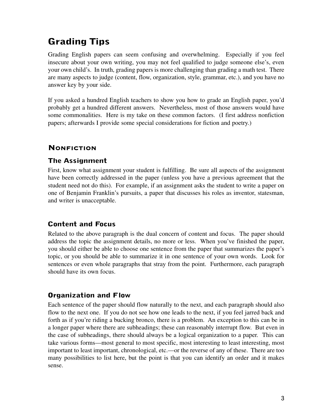# **Grading Tips**

Grading English papers can seem confusing and overwhelming. Especially if you feel insecure about your own writing, you may not feel qualified to judge someone else's, even your own child's. In truth, grading papers is more challenging than grading a math test. There are many aspects to judge (content, flow, organization, style, grammar, etc.), and you have no answer key by your side.

If you asked a hundred English teachers to show you how to grade an English paper, you'd probably get a hundred different answers. Nevertheless, most of those answers would have some commonalities. Here is my take on these common factors. (I first address nonfiction papers; afterwards I provide some special considerations for fiction and poetry.)

# **NONFICTION**

### **The Assignment**

First, know what assignment your student is fulfilling. Be sure all aspects of the assignment have been correctly addressed in the paper (unless you have a previous agreement that the student need not do this). For example, if an assignment asks the student to write a paper on one of Benjamin Franklin's pursuits, a paper that discusses his roles as inventor, statesman, and writer is unacceptable.

### **Content and Focus**

Related to the above paragraph is the dual concern of content and focus. The paper should address the topic the assignment details, no more or less. When you've finished the paper, you should either be able to choose one sentence from the paper that summarizes the paper's topic, or you should be able to summarize it in one sentence of your own words. Look for sentences or even whole paragraphs that stray from the point. Furthermore, each paragraph should have its own focus.

### **Organization and Flow**

Each sentence of the paper should flow naturally to the next, and each paragraph should also flow to the next one. If you do not see how one leads to the next, if you feel jarred back and forth as if you're riding a bucking bronco, there is a problem. An exception to this can be in a longer paper where there are subheadings; these can reasonably interrupt flow. But even in the case of subheadings, there should always be a logical organization to a paper. This can take various forms—most general to most specific, most interesting to least interesting, most important to least important, chronological, etc.—or the reverse of any of these. There are too many possibilities to list here, but the point is that you can identify an order and it makes sense.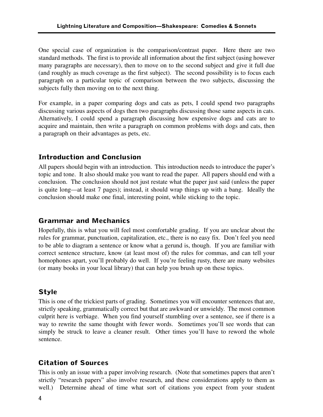One special case of organization is the comparison/contrast paper. Here there are two standard methods. The first is to provide all information about the first subject (using however many paragraphs are necessary), then to move on to the second subject and give it full due (and roughly as much coverage as the first subject). The second possibility is to focus each paragraph on a particular topic of comparison between the two subjects, discussing the subjects fully then moving on to the next thing.

For example, in a paper comparing dogs and cats as pets, I could spend two paragraphs discussing various aspects of dogs then two paragraphs discussing those same aspects in cats. Alternatively, I could spend a paragraph discussing how expensive dogs and cats are to acquire and maintain, then write a paragraph on common problems with dogs and cats, then a paragraph on their advantages as pets, etc.

### **Introduction and Conclusion**

All papers should begin with an introduction. This introduction needs to introduce the paper's topic and tone. It also should make you want to read the paper. All papers should end with a conclusion. The conclusion should not just restate what the paper just said (unless the paper is quite long—at least 7 pages); instead, it should wrap things up with a bang. Ideally the conclusion should make one final, interesting point, while sticking to the topic.

### **Grammar and Mechanics**

Hopefully, this is what you will feel most comfortable grading. If you are unclear about the rules for grammar, punctuation, capitalization, etc., there is no easy fix. Don't feel you need to be able to diagram a sentence or know what a gerund is, though. If you are familiar with correct sentence structure, know (at least most of) the rules for commas, and can tell your homophones apart, you'll probably do well. If you're feeling rusty, there are many websites (or many books in your local library) that can help you brush up on these topics.

### **Style**

This is one of the trickiest parts of grading. Sometimes you will encounter sentences that are, strictly speaking, grammatically correct but that are awkward or unwieldy. The most common culprit here is verbiage. When you find yourself stumbling over a sentence, see if there is a way to rewrite the same thought with fewer words. Sometimes you'll see words that can simply be struck to leave a cleaner result. Other times you'll have to reword the whole sentence.

# **Citation of Sources**

This is only an issue with a paper involving research. (Note that sometimes papers that aren't strictly "research papers" also involve research, and these considerations apply to them as well.) Determine ahead of time what sort of citations you expect from your student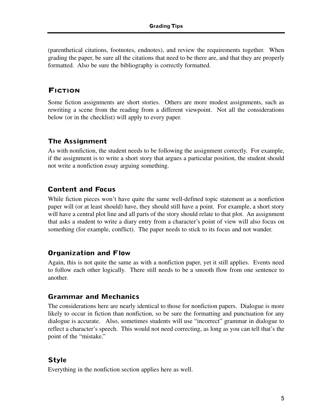(parenthetical citations, footnotes, endnotes), and review the requirements together. When grading the paper, be sure all the citations that need to be there are, and that they are properly formatted. Also be sure the bibliography is correctly formatted.

### FICTION

Some fiction assignments are short stories. Others are more modest assignments, such as rewriting a scene from the reading from a different viewpoint. Not all the considerations below (or in the checklist) will apply to every paper.

# **The Assignment**

As with nonfiction, the student needs to be following the assignment correctly. For example, if the assignment is to write a short story that argues a particular position, the student should not write a nonfiction essay arguing something.

# **Content and Focus**

While fiction pieces won't have quite the same well-defined topic statement as a nonfiction paper will (or at least should) have, they should still have a point. For example, a short story will have a central plot line and all parts of the story should relate to that plot. An assignment that asks a student to write a diary entry from a character's point of view will also focus on something (for example, conflict). The paper needs to stick to its focus and not wander.

### **Organization and Flow**

Again, this is not quite the same as with a nonfiction paper, yet it still applies. Events need to follow each other logically. There still needs to be a smooth flow from one sentence to another.

### **Grammar and Mechanics**

The considerations here are nearly identical to those for nonfiction papers. Dialogue is more likely to occur in fiction than nonfiction, so be sure the formatting and punctuation for any dialogue is accurate. Also, sometimes students will use "incorrect" grammar in dialogue to reflect a character's speech. This would not need correcting, as long as you can tell that's the point of the "mistake."

### **Style**

Everything in the nonfiction section applies here as well.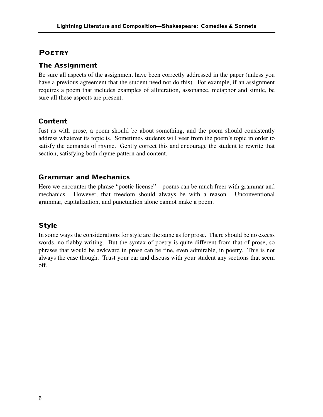### **POETRY**

### **The Assignment**

Be sure all aspects of the assignment have been correctly addressed in the paper (unless you have a previous agreement that the student need not do this). For example, if an assignment requires a poem that includes examples of alliteration, assonance, metaphor and simile, be sure all these aspects are present.

# **Content**

Just as with prose, a poem should be about something, and the poem should consistently address whatever its topic is. Sometimes students will veer from the poem's topic in order to satisfy the demands of rhyme. Gently correct this and encourage the student to rewrite that section, satisfying both rhyme pattern and content.

### **Grammar and Mechanics**

Here we encounter the phrase "poetic license"—poems can be much freer with grammar and mechanics. However, that freedom should always be with a reason. Unconventional grammar, capitalization, and punctuation alone cannot make a poem.

### **Style**

In some ways the considerations for style are the same as for prose. There should be no excess words, no flabby writing. But the syntax of poetry is quite different from that of prose, so phrases that would be awkward in prose can be fine, even admirable, in poetry. This is not always the case though. Trust your ear and discuss with your student any sections that seem off.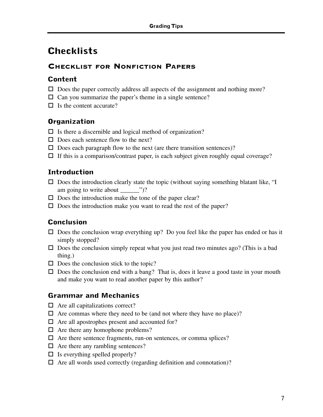# **Checklists**

# CHECKLIST FOR NONFICTION PAPERS

### **Content**

- $\square$  Does the paper correctly address all aspects of the assignment and nothing more?
- $\Box$  Can you summarize the paper's theme in a single sentence?
- $\Box$  Is the content accurate?

# **Organization**

- $\Box$  Is there a discernible and logical method of organization?
- $\square$  Does each sentence flow to the next?
- $\Box$  Does each paragraph flow to the next (are there transition sentences)?
- $\Box$  If this is a comparison/contrast paper, is each subject given roughly equal coverage?

# **Introduction**

- $\square$  Does the introduction clearly state the topic (without saying something blatant like, "I am going to write about \_\_\_\_\_\_\_\_")?
- $\square$  Does the introduction make the tone of the paper clear?
- $\square$  Does the introduction make you want to read the rest of the paper?

# **Conclusion**

- $\square$  Does the conclusion wrap everything up? Do you feel like the paper has ended or has it simply stopped?
- $\square$  Does the conclusion simply repeat what you just read two minutes ago? (This is a bad thing.)
- $\square$  Does the conclusion stick to the topic?
- $\square$  Does the conclusion end with a bang? That is, does it leave a good taste in your mouth and make you want to read another paper by this author?

### **Grammar and Mechanics**

- $\Box$  Are all capitalizations correct?
- $\Box$  Are commas where they need to be (and not where they have no place)?
- $\Box$  Are all apostrophes present and accounted for?
- $\Box$  Are there any homophone problems?
- $\Box$  Are there sentence fragments, run-on sentences, or comma splices?
- $\Box$  Are there any rambling sentences?
- $\Box$  Is everything spelled properly?
- $\Box$  Are all words used correctly (regarding definition and connotation)?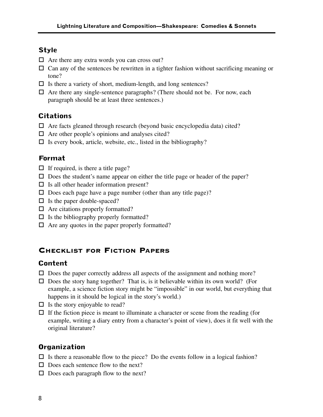### **Style**

- $\Box$  Are there any extra words you can cross out?
- $\Box$  Can any of the sentences be rewritten in a tighter fashion without sacrificing meaning or tone?
- $\Box$  Is there a variety of short, medium-length, and long sentences?
- $\Box$  Are there any single-sentence paragraphs? (There should not be. For now, each paragraph should be at least three sentences.)

### **Citations**

- $\Box$  Are facts gleaned through research (beyond basic encyclopedia data) cited?
- $\Box$  Are other people's opinions and analyses cited?
- $\Box$  Is every book, article, website, etc., listed in the bibliography?

### **Format**

- $\Box$  If required, is there a title page?
- $\square$  Does the student's name appear on either the title page or header of the paper?
- $\Box$  Is all other header information present?
- $\square$  Does each page have a page number (other than any title page)?
- $\Box$  Is the paper double-spaced?
- $\Box$  Are citations properly formatted?
- $\Box$  Is the bibliography properly formatted?
- $\Box$  Are any quotes in the paper properly formatted?

# CHECKLIST FOR FICTION PAPERS

### **Content**

- $\Box$  Does the paper correctly address all aspects of the assignment and nothing more?
- $\square$  Does the story hang together? That is, is it believable within its own world? (For example, a science fiction story might be "impossible" in our world, but everything that happens in it should be logical in the story's world.)
- $\Box$  Is the story enjoyable to read?
- $\Box$  If the fiction piece is meant to illuminate a character or scene from the reading (for example, writing a diary entry from a character's point of view), does it fit well with the original literature?

### **Organization**

- $\Box$  Is there a reasonable flow to the piece? Do the events follow in a logical fashion?
- $\Box$  Does each sentence flow to the next?
- $\Box$  Does each paragraph flow to the next?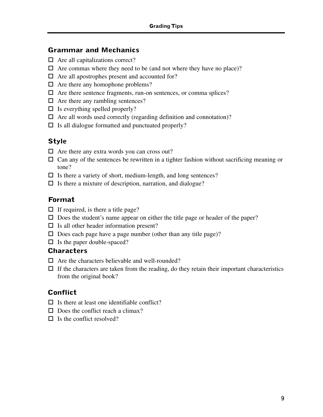### **Grammar and Mechanics**

- $\Box$  Are all capitalizations correct?
- $\Box$  Are commas where they need to be (and not where they have no place)?
- $\Box$  Are all apostrophes present and accounted for?
- $\Box$  Are there any homophone problems?
- $\Box$  Are there sentence fragments, run-on sentences, or comma splices?
- $\Box$  Are there any rambling sentences?
- $\Box$  Is everything spelled properly?
- $\Box$  Are all words used correctly (regarding definition and connotation)?
- $\Box$  Is all dialogue formatted and punctuated properly?

# **Style**

- $\Box$  Are there any extra words you can cross out?
- $\Box$  Can any of the sentences be rewritten in a tighter fashion without sacrificing meaning or tone?
- $\Box$  Is there a variety of short, medium-length, and long sentences?
- $\Box$  Is there a mixture of description, narration, and dialogue?

### **Format**

- $\Box$  If required, is there a title page?
- $\square$  Does the student's name appear on either the title page or header of the paper?
- $\Box$  Is all other header information present?
- $\square$  Does each page have a page number (other than any title page)?
- $\Box$  Is the paper double-spaced?

### **Characters**

- $\Box$  Are the characters believable and well-rounded?
- $\Box$  If the characters are taken from the reading, do they retain their important characteristics from the original book?

### **Conflict**

- $\Box$  Is there at least one identifiable conflict?
- $\Box$  Does the conflict reach a climax?
- $\Box$  Is the conflict resolved?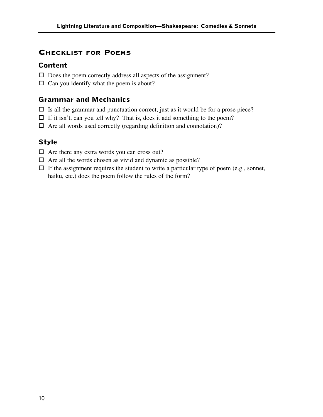### CHECKLIST FOR POEMS

### **Content**

- $\square$  Does the poem correctly address all aspects of the assignment?
- $\Box$  Can you identify what the poem is about?

### **Grammar and Mechanics**

- $\Box$  Is all the grammar and punctuation correct, just as it would be for a prose piece?
- $\Box$  If it isn't, can you tell why? That is, does it add something to the poem?
- $\Box$  Are all words used correctly (regarding definition and connotation)?

### **Style**

- $\Box$  Are there any extra words you can cross out?
- $\Box$  Are all the words chosen as vivid and dynamic as possible?
- $\Box$  If the assignment requires the student to write a particular type of poem (e.g., sonnet, haiku, etc.) does the poem follow the rules of the form?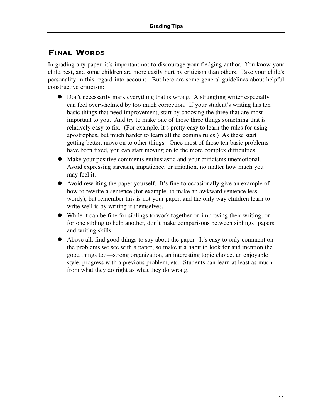# FINAL WORDS

In grading any paper, it's important not to discourage your fledging author. You know your child best, and some children are more easily hurt by criticism than others. Take your child's personality in this regard into account. But here are some general guidelines about helpful constructive criticism:

- Don't necessarily mark everything that is wrong. A struggling writer especially can feel overwhelmed by too much correction. If your student's writing has ten basic things that need improvement, start by choosing the three that are most important to you. And try to make one of those three things something that is relatively easy to fix. (For example, it s pretty easy to learn the rules for using apostrophes, but much harder to learn all the comma rules.) As these start getting better, move on to other things. Once most of those ten basic problems have been fixed, you can start moving on to the more complex difficulties.
- Make your positive comments enthusiastic and your criticisms unemotional. Avoid expressing sarcasm, impatience, or irritation, no matter how much you may feel it.
- Avoid rewriting the paper yourself. It's fine to occasionally give an example of how to rewrite a sentence (for example, to make an awkward sentence less wordy), but remember this is not your paper, and the only way children learn to write well is by writing it themselves.
- While it can be fine for siblings to work together on improving their writing, or for one sibling to help another, don't make comparisons between siblings' papers and writing skills.
- Above all, find good things to say about the paper. It's easy to only comment on the problems we see with a paper; so make it a habit to look for and mention the good things too—strong organization, an interesting topic choice, an enjoyable style, progress with a previous problem, etc. Students can learn at least as much from what they do right as what they do wrong.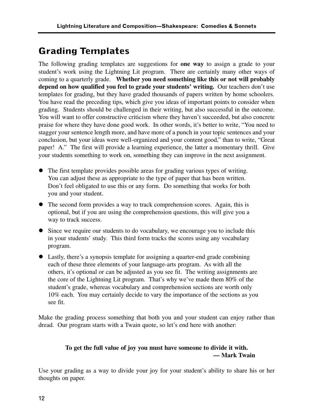# **Grading Templates**

The following grading templates are suggestions for **one way** to assign a grade to your student's work using the Lightning Lit program. There are certainly many other ways of coming to a quarterly grade. **Whether you need something like this or not will probably depend on how qualified you feel to grade your students' writing.** Our teachers don't use templates for grading, but they have graded thousands of papers written by home schoolers. You have read the preceding tips, which give you ideas of important points to consider when grading. Students should be challenged in their writing, but also successful in the outcome. You will want to offer constructive criticism where they haven't succeeded, but also concrete praise for where they have done good work. In other words, it's better to write, "You need to stagger your sentence length more, and have more of a punch in your topic sentences and your conclusion, but your ideas were well-organized and your content good," than to write, "Great paper! A." The first will provide a learning experience, the latter a momentary thrill. Give your students something to work on, something they can improve in the next assignment.

- The first template provides possible areas for grading various types of writing. You can adjust these as appropriate to the type of paper that has been written. Don't feel obligated to use this or any form. Do something that works for both you and your student.
- The second form provides a way to track comprehension scores. Again, this is optional, but if you are using the comprehension questions, this will give you a way to track success.
- Since we require our students to do vocabulary, we encourage you to include this in your students' study. This third form tracks the scores using any vocabulary program.
- Lastly, there's a synopsis template for assigning a quarter-end grade combining each of these three elements of your language-arts program. As with all the others, it's optional or can be adjusted as you see fit. The writing assignments are the core of the Lightning Lit program. That's why we've made them 80% of the student's grade, whereas vocabulary and comprehension sections are worth only 10% each. You may certainly decide to vary the importance of the sections as you see fit.

Make the grading process something that both you and your student can enjoy rather than dread. Our program starts with a Twain quote, so let's end here with another:

### **To get the full value of joy you must have someone to divide it with. — Mark Twain**

Use your grading as a way to divide your joy for your student's ability to share his or her thoughts on paper.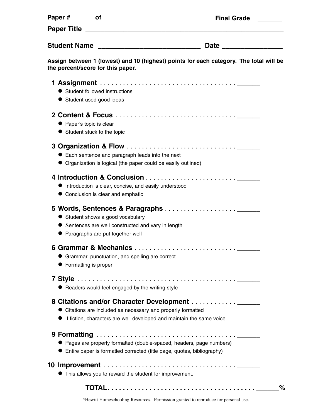| Paper # _______ of ______                                  |                                                                                                                                                                                             | <b>Final Grade</b> |
|------------------------------------------------------------|---------------------------------------------------------------------------------------------------------------------------------------------------------------------------------------------|--------------------|
|                                                            |                                                                                                                                                                                             |                    |
|                                                            |                                                                                                                                                                                             |                    |
| the percent/score for this paper.                          | Assign between 1 (lowest) and 10 (highest) points for each category. The total will be                                                                                                      |                    |
| ● Student followed instructions<br>Student used good ideas |                                                                                                                                                                                             |                    |
| • Paper's topic is clear<br>• Student stuck to the topic   |                                                                                                                                                                                             |                    |
|                                                            | • Each sentence and paragraph leads into the next<br>• Organization is logical (the paper could be easily outlined)                                                                         |                    |
|                                                            | Introduction is clear, concise, and easily understood<br>• Conclusion is clear and emphatic                                                                                                 |                    |
|                                                            | Student shows a good vocabulary<br>• Sentences are well constructed and vary in length<br>• Paragraphs are put together well                                                                |                    |
| Formatting is proper                                       | 6 Grammar & Mechanics<br>Grammar, punctuation, and spelling are correct                                                                                                                     |                    |
|                                                            | • Readers would feel engaged by the writing style                                                                                                                                           |                    |
|                                                            | 8 Citations and/or Character Development _______<br>• Citations are included as necessary and properly formatted<br>• If fiction, characters are well developed and maintain the same voice |                    |
|                                                            | • Pages are properly formatted (double-spaced, headers, page numbers)<br>• Entire paper is formatted corrected (title page, quotes, bibliography)                                           |                    |
|                                                            | • This allows you to reward the student for improvement.                                                                                                                                    |                    |
|                                                            |                                                                                                                                                                                             | $\%$               |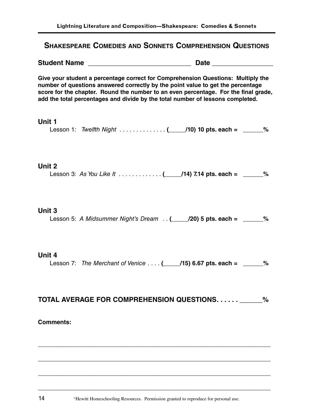### **SHAKESPEARE COMEDIES AND SONNETS COMPREHENSION QUESTIONS**

**Student Name \_\_\_\_\_\_\_\_\_\_\_\_\_\_\_\_\_\_\_\_\_\_\_\_\_\_\_ Date \_\_\_\_\_\_\_\_\_\_\_\_\_\_\_\_**

**Give your student a percentage correct for Comprehension Questions: Multiply the number of questions answered correctly by the point value to get the percentage score for the chapter. Round the number to an even percentage. For the final grade, add the total percentages and divide by the total number of lessons completed.**

#### **Unit 1**

Lesson 1: *Twelfth Night* . . . . . . . . . . . . . . **(\_\_\_\_\_/10) 10 pts. each = \_\_\_\_\_\_%**

### **Unit 2**

Lesson 3: *As You Like It* . . . . . . . . . . . . . **(\_\_\_\_\_/14) 7.14 pts. each = \_\_\_\_\_\_%**

### **Unit 3**

Lesson 5: *A Midsummer Night's Dream* . . **(\_\_\_\_\_/20) 5 pts. each = \_\_\_\_\_\_%**

### **Unit 4**

Lesson 7: *The Merchant of Venice* . . . . **(\_\_\_\_\_/15) 6.67 pts. each = \_\_\_\_\_\_%**

### **TOTAL AVERAGE FOR COMPREHENSION QUESTIONS. . . . . . \_\_\_\_\_\_%**

**\_\_\_\_\_\_\_\_\_\_\_\_\_\_\_\_\_\_\_\_\_\_\_\_\_\_\_\_\_\_\_\_\_\_\_\_\_\_\_\_\_\_\_\_\_\_\_\_\_\_\_\_\_\_\_\_\_\_\_\_\_\_\_\_\_\_\_\_\_**

**\_\_\_\_\_\_\_\_\_\_\_\_\_\_\_\_\_\_\_\_\_\_\_\_\_\_\_\_\_\_\_\_\_\_\_\_\_\_\_\_\_\_\_\_\_\_\_\_\_\_\_\_\_\_\_\_\_\_\_\_\_\_\_\_\_\_\_\_\_**

**\_\_\_\_\_\_\_\_\_\_\_\_\_\_\_\_\_\_\_\_\_\_\_\_\_\_\_\_\_\_\_\_\_\_\_\_\_\_\_\_\_\_\_\_\_\_\_\_\_\_\_\_\_\_\_\_\_\_\_\_\_\_\_\_\_\_\_\_\_**

**\_\_\_\_\_\_\_\_\_\_\_\_\_\_\_\_\_\_\_\_\_\_\_\_\_\_\_\_\_\_\_\_\_\_\_\_\_\_\_\_\_\_\_\_\_\_\_\_\_\_\_\_\_\_\_\_\_\_\_\_\_\_\_\_\_\_\_\_\_**

### **Comments:**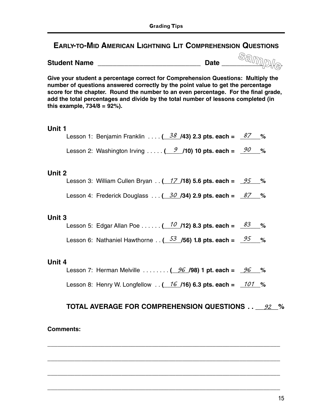# **EARLY-TO-MID AMERICAN LIGHTNING LIT COMPREHENSION QUESTIONS**

| <b>Student Name</b> | ) ata<br>υαισ |  |
|---------------------|---------------|--|
|                     |               |  |

**Give your student a percentage correct for Comprehension Questions: Multiply the number of questions answered correctly by the point value to get the percentage score for the chapter. Round the number to an even percentage. For the final grade, add the total percentages and divide by the total number of lessons completed (in this example, 734/8 = 92%).**

### **Unit 1**

| Lesson 1: Benjamin Franklin  ( $38/43$ ) 2.3 pts. each = $87/8$ |  |
|-----------------------------------------------------------------|--|
| Lesson 2: Washington Irving  ( $9$ /10) 10 pts. each = $90$ %   |  |

### **Unit 2**

| Lesson 3: William Cullen Bryan ( $17/18$ ) 5.6 pts. each = $25/8$ |  |  |
|-------------------------------------------------------------------|--|--|
| Lesson 4: Frederick Douglass  ( $30$ /34) 2.9 pts. each = $87$ %  |  |  |

### **Unit 3**

| Lesson 5: Edgar Allan Poe ( $10$ /12) 8.3 pts. each = $83$ %                         |  |  |
|--------------------------------------------------------------------------------------|--|--|
| Lesson 6: Nathaniel Hawthorne ( $\frac{53}{5}$ /56) 1.8 pts. each = $\frac{95}{5}$ % |  |  |

### **Unit 4**

Lesson 7: Herman Melville . . . . . . . . **(\_\_\_\_\_/98) 1 pt. each = \_\_\_\_\_\_%** *96 96*

Lesson 8: Henry W. Longfellow . . **(\_\_\_\_\_/16) 6.3 pts. each = \_\_\_\_\_\_%** *16 101*

**\_\_\_\_\_\_\_\_\_\_\_\_\_\_\_\_\_\_\_\_\_\_\_\_\_\_\_\_\_\_\_\_\_\_\_\_\_\_\_\_\_\_\_\_\_\_\_\_\_\_\_\_\_\_\_\_\_\_\_\_\_\_\_\_\_\_\_\_\_**

**\_\_\_\_\_\_\_\_\_\_\_\_\_\_\_\_\_\_\_\_\_\_\_\_\_\_\_\_\_\_\_\_\_\_\_\_\_\_\_\_\_\_\_\_\_\_\_\_\_\_\_\_\_\_\_\_\_\_\_\_\_\_\_\_\_\_\_\_\_**

**\_\_\_\_\_\_\_\_\_\_\_\_\_\_\_\_\_\_\_\_\_\_\_\_\_\_\_\_\_\_\_\_\_\_\_\_\_\_\_\_\_\_\_\_\_\_\_\_\_\_\_\_\_\_\_\_\_\_\_\_\_\_\_\_\_\_\_\_\_**

**\_\_\_\_\_\_\_\_\_\_\_\_\_\_\_\_\_\_\_\_\_\_\_\_\_\_\_\_\_\_\_\_\_\_\_\_\_\_\_\_\_\_\_\_\_\_\_\_\_\_\_\_\_\_\_\_\_\_\_\_\_\_\_\_\_\_\_\_\_**

# **TOTAL AVERAGE FOR COMPREHENSION QUESTIONS . . \_\_\_\_\_\_%** *92*

### **Comments:**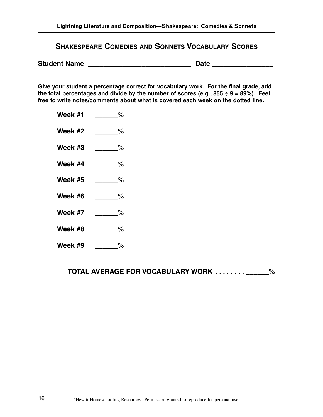### **SHAKESPEARE COMEDIES AND SONNETS VOCABULARY SCORES**

**Student Name Date 2018** 

**Give your student a percentage correct for vocabulary work. For the final grade, add the total percentages and divide by the number of scores (e.g., 855 ÷ 9 = 89%). Feel free to write notes/comments about what is covered each week on the dotted line.**

- Week #1 \_\_\_\_\_\_%
- **Week #2** \_\_\_\_\_\_%
- **Week #3** \_\_\_\_\_\_%
- **Week #4** \_\_\_\_\_\_%
- **Week #5** \_\_\_\_\_\_%
- **Week #6** \_\_\_\_\_\_%
- **Week #7** \_\_\_\_\_\_%
- **Week #8** \_\_\_\_\_\_%
- **Week #9** \_\_\_\_\_\_%

**TOTAL AVERAGE FOR VOCABULARY WORK . . . . . . . . \_\_\_\_\_\_%**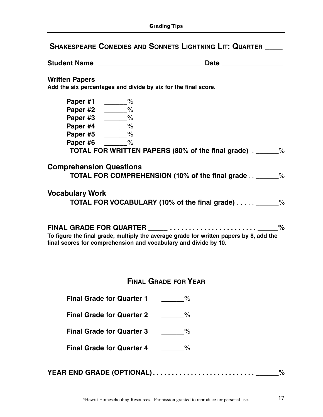| <b>Student Name</b> |  |  |
|---------------------|--|--|
|---------------------|--|--|

#### **Written Papers**

**Add the six percentages and divide by six for the final score.**

| Paper #1                       | %                                                    |      |
|--------------------------------|------------------------------------------------------|------|
| Paper #2                       | %                                                    |      |
| Paper #3                       | %                                                    |      |
| Paper #4                       | %                                                    |      |
| Paper #5                       | %                                                    |      |
| Paper #6                       | ℅                                                    |      |
|                                | TOTAL FOR WRITTEN PAPERS (80% of the final grade).   | %    |
| <b>Comprehension Questions</b> | TOTAL FOR COMPREHENSION (10% of the final grade_     | $\%$ |
| <b>Vocabulary Work</b>         | <b>TOTAL FOR VOCABULARY (10% of the final grade)</b> | $\%$ |
|                                |                                                      |      |

**FINAL GRADE FOR QUARTER \_\_\_\_\_ . . . . . . . . . . . . . . . . . . . . . . . \_\_\_\_\_% To figure the final grade, multiply the average grade for written papers by 8, add the final scores for comprehension and vocabulary and divide by 10.**

# **FINAL GRADE FOR YEAR**

- **Final Grade for Quarter 1**  $\%$
- **Final Grade for Quarter 2** \_\_\_\_\_\_%
- **Final Grade for Quarter 3** \_\_\_\_\_\_%
- **Final Grade for Quarter 4**  $\%$

| YEAR END GRADE (OPTIONAL) |  |
|---------------------------|--|
|                           |  |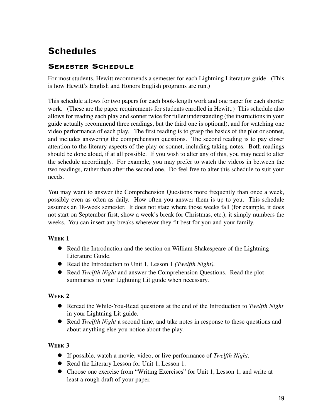# **Schedules**

# SEMESTER SCHEDULE

For most students, Hewitt recommends a semester for each Lightning Literature guide. (This is how Hewitt's English and Honors English programs are run.)

This schedule allows for two papers for each book-length work and one paper for each shorter work. (These are the paper requirements for students enrolled in Hewitt.) This schedule also allows for reading each play and sonnet twice for fuller understanding (the instructions in your guide actually recommend three readings, but the third one is optional), and for watching one video performance of each play. The first reading is to grasp the basics of the plot or sonnet, and includes answering the comprehension questions. The second reading is to pay closer attention to the literary aspects of the play or sonnet, including taking notes. Both readings should be done aloud, if at all possible. If you wish to alter any of this, you may need to alter the schedule accordingly. For example, you may prefer to watch the videos in between the two readings, rather than after the second one. Do feel free to alter this schedule to suit your needs.

You may want to answer the Comprehension Questions more frequently than once a week, possibly even as often as daily. How often you answer them is up to you. This schedule assumes an 18-week semester. It does not state where those weeks fall (for example, it does not start on September first, show a week's break for Christmas, etc.), it simply numbers the weeks. You can insert any breaks wherever they fit best for you and your family.

### **WEEK 1**

- Read the Introduction and the section on William Shakespeare of the Lightning Literature Guide.
- Read the Introduction to Unit 1, Lesson 1 *(Twelfth Night).*
- Read *Twelfth Night* and answer the Comprehension Questions. Read the plot summaries in your Lightning Lit guide when necessary.

### **WEEK 2**

- Reread the While-You-Read questions at the end of the Introduction to *Twelfth Night* in your Lightning Lit guide.
- Read *Twelfth Night* a second time, and take notes in response to these questions and about anything else you notice about the play.

- If possible, watch a movie, video, or live performance of *Twelfth Night*.
- Read the Literary Lesson for Unit 1, Lesson 1.
- Choose one exercise from "Writing Exercises" for Unit 1, Lesson 1, and write at least a rough draft of your paper.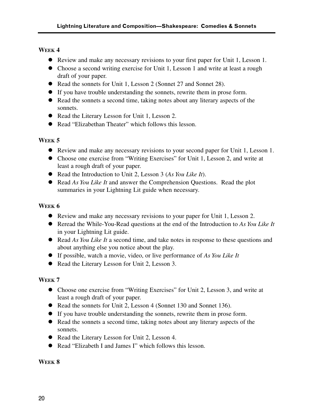- Review and make any necessary revisions to your first paper for Unit 1, Lesson 1.
- Choose a second writing exercise for Unit 1, Lesson 1 and write at least a rough draft of your paper.
- Read the sonnets for Unit 1, Lesson 2 (Sonnet 27 and Sonnet 28).
- If you have trouble understanding the sonnets, rewrite them in prose form.
- Read the sonnets a second time, taking notes about any literary aspects of the sonnets.
- Read the Literary Lesson for Unit 1, Lesson 2.
- Read "Elizabethan Theater" which follows this lesson.

### **WEEK 5**

- Review and make any necessary revisions to your second paper for Unit 1, Lesson 1.
- Choose one exercise from "Writing Exercises" for Unit 1, Lesson 2, and write at least a rough draft of your paper.
- Read the Introduction to Unit 2, Lesson 3 (*As You Like It*).
- Read *As You Like It* and answer the Comprehension Questions. Read the plot summaries in your Lightning Lit guide when necessary.

### **WEEK 6**

- Review and make any necessary revisions to your paper for Unit 1, Lesson 2.
- Reread the While-You-Read questions at the end of the Introduction to *As You Like It* in your Lightning Lit guide.
- Read *As You Like It* a second time, and take notes in response to these questions and about anything else you notice about the play.
- If possible, watch a movie, video, or live performance of *As You Like It*
- Read the Literary Lesson for Unit 2, Lesson 3.

### **WEEK 7**

- Choose one exercise from "Writing Exercises" for Unit 2, Lesson 3, and write at least a rough draft of your paper.
- Read the sonnets for Unit 2, Lesson 4 (Sonnet 130 and Sonnet 136).
- If you have trouble understanding the sonnets, rewrite them in prose form.
- Read the sonnets a second time, taking notes about any literary aspects of the sonnets.
- Read the Literary Lesson for Unit 2, Lesson 4.
- Read "Elizabeth I and James I" which follows this lesson.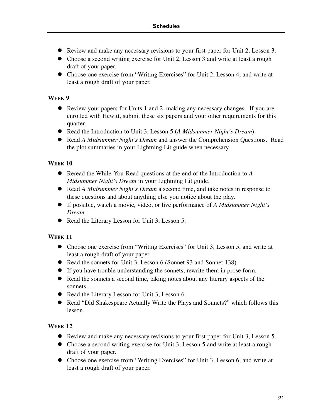- Review and make any necessary revisions to your first paper for Unit 2, Lesson 3.
- Choose a second writing exercise for Unit 2, Lesson 3 and write at least a rough draft of your paper.
- Choose one exercise from "Writing Exercises" for Unit 2, Lesson 4, and write at least a rough draft of your paper.

- Review your papers for Units 1 and 2, making any necessary changes. If you are enrolled with Hewitt, submit these six papers and your other requirements for this quarter.
- Read the Introduction to Unit 3, Lesson 5 (*A Midsummer Night's Dream*).
- Read *A Midsummer Night's Dream* and answer the Comprehension Questions. Read the plot summaries in your Lightning Lit guide when necessary.

### **WEEK 10**

- Reread the While-You-Read questions at the end of the Introduction to *A Midsummer Night's Dream* in your Lightning Lit guide.
- Read *A Midsummer Night's Dream* a second time, and take notes in response to these questions and about anything else you notice about the play.
- If possible, watch a movie, video, or live performance of *A Midsummer Night's Dream*.
- Read the Literary Lesson for Unit 3, Lesson 5.

### **WEEK 11**

- Choose one exercise from "Writing Exercises" for Unit 3, Lesson 5, and write at least a rough draft of your paper.
- Read the sonnets for Unit 3, Lesson 6 (Sonnet 93 and Sonnet 138).
- If you have trouble understanding the sonnets, rewrite them in prose form.
- Read the sonnets a second time, taking notes about any literary aspects of the sonnets.
- Read the Literary Lesson for Unit 3, Lesson 6.
- Read "Did Shakespeare Actually Write the Plays and Sonnets?" which follows this lesson.

- Review and make any necessary revisions to your first paper for Unit 3, Lesson 5.
- Choose a second writing exercise for Unit 3, Lesson 5 and write at least a rough draft of your paper.
- Choose one exercise from "Writing Exercises" for Unit 3, Lesson 6, and write at least a rough draft of your paper.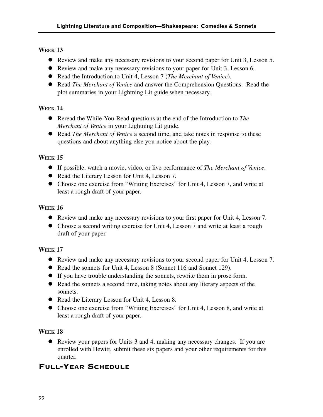- Review and make any necessary revisions to your second paper for Unit 3, Lesson 5.
- Review and make any necessary revisions to your paper for Unit 3, Lesson 6.
- Read the Introduction to Unit 4, Lesson 7 (*The Merchant of Venice*).
- Read *The Merchant of Venice* and answer the Comprehension Questions. Read the plot summaries in your Lightning Lit guide when necessary.

### **WEEK 14**

- Reread the While-You-Read questions at the end of the Introduction to *The Merchant of Venice* in your Lightning Lit guide.
- Read *The Merchant of Venice* a second time, and take notes in response to these questions and about anything else you notice about the play.

### **WEEK 15**

- If possible, watch a movie, video, or live performance of *The Merchant of Venice*.
- Read the Literary Lesson for Unit 4, Lesson 7.
- Choose one exercise from "Writing Exercises" for Unit 4, Lesson 7, and write at least a rough draft of your paper.

### **WEEK 16**

- Review and make any necessary revisions to your first paper for Unit 4, Lesson 7.
- Choose a second writing exercise for Unit 4, Lesson 7 and write at least a rough draft of your paper.

### **WEEK 17**

- Review and make any necessary revisions to your second paper for Unit 4, Lesson 7.
- Read the sonnets for Unit 4, Lesson 8 (Sonnet 116 and Sonnet 129).
- If you have trouble understanding the sonnets, rewrite them in prose form.
- Read the sonnets a second time, taking notes about any literary aspects of the sonnets.
- Read the Literary Lesson for Unit 4, Lesson 8.
- Choose one exercise from "Writing Exercises" for Unit 4, Lesson 8, and write at least a rough draft of your paper.

### **WEEK 18**

 Review your papers for Units 3 and 4, making any necessary changes. If you are enrolled with Hewitt, submit these six papers and your other requirements for this quarter.

# FULL-YEAR SCHEDULE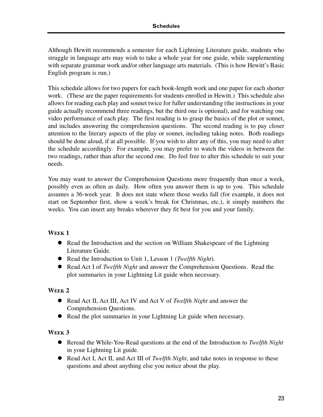Although Hewitt recommends a semester for each Lightning Literature guide, students who struggle in language arts may wish to take a whole year for one guide, while supplementing with separate grammar work and/or other language arts materials. (This is how Hewitt's Basic English program is run.)

This schedule allows for two papers for each book-length work and one paper for each shorter work. (These are the paper requirements for students enrolled in Hewitt.) This schedule also allows for reading each play and sonnet twice for fuller understanding (the instructions in your guide actually recommend three readings, but the third one is optional), and for watching one video performance of each play. The first reading is to grasp the basics of the plot or sonnet, and includes answering the comprehension questions. The second reading is to pay closer attention to the literary aspects of the play or sonnet, including taking notes. Both readings should be done aloud, if at all possible. If you wish to alter any of this, you may need to alter the schedule accordingly. For example, you may prefer to watch the videos in between the two readings, rather than after the second one. Do feel free to alter this schedule to suit your needs.

You may want to answer the Comprehension Questions more frequently than once a week, possibly even as often as daily. How often you answer them is up to you. This schedule assumes a 36-week year. It does not state where those weeks fall (for example, it does not start on September first, show a week's break for Christmas, etc.), it simply numbers the weeks. You can insert any breaks wherever they fit best for you and your family.

### **WEEK 1**

- Read the Introduction and the section on William Shakespeare of the Lightning Literature Guide.
- Read the Introduction to Unit 1, Lesson 1 (*Twelfth Night*).
- Read Act I of *Twelfth Night* and answer the Comprehension Questions. Read the plot summaries in your Lightning Lit guide when necessary.

#### **WEEK 2**

- Read Act II, Act III, Act IV and Act V of *Twelfth Night* and answer the Comprehension Questions.
- Read the plot summaries in your Lightning Lit guide when necessary.

- Reread the While-You-Read questions at the end of the Introduction to *Twelfth Night* in your Lightning Lit guide.
- Read Act I, Act II, and Act III of *Twelfth Night*, and take notes in response to these questions and about anything else you notice about the play.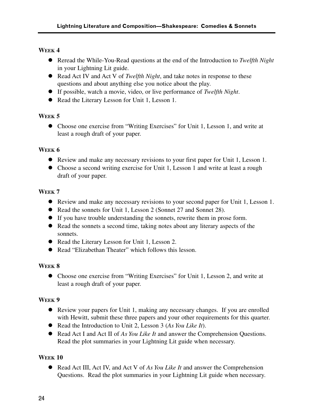- Reread the While-You-Read questions at the end of the Introduction to *Twelfth Night* in your Lightning Lit guide.
- Read Act IV and Act V of *Twelfth Night*, and take notes in response to these questions and about anything else you notice about the play.
- If possible, watch a movie, video, or live performance of *Twelfth Night*.
- Read the Literary Lesson for Unit 1, Lesson 1.

### **WEEK 5**

 Choose one exercise from "Writing Exercises" for Unit 1, Lesson 1, and write at least a rough draft of your paper.

### **WEEK 6**

- Review and make any necessary revisions to your first paper for Unit 1, Lesson 1.
- Choose a second writing exercise for Unit 1, Lesson 1 and write at least a rough draft of your paper.

### **WEEK 7**

- Review and make any necessary revisions to your second paper for Unit 1, Lesson 1.
- Read the sonnets for Unit 1, Lesson 2 (Sonnet 27 and Sonnet 28).
- If you have trouble understanding the sonnets, rewrite them in prose form.
- Read the sonnets a second time, taking notes about any literary aspects of the sonnets.
- Read the Literary Lesson for Unit 1, Lesson 2.
- Read "Elizabethan Theater" which follows this lesson.

### **WEEK 8**

 Choose one exercise from "Writing Exercises" for Unit 1, Lesson 2, and write at least a rough draft of your paper.

### **WEEK 9**

- Review your papers for Unit 1, making any necessary changes. If you are enrolled with Hewitt, submit these three papers and your other requirements for this quarter.
- Read the Introduction to Unit 2, Lesson 3 (*As You Like It*).
- Read Act I and Act II of *As You Like It* and answer the Comprehension Questions. Read the plot summaries in your Lightning Lit guide when necessary.

### **WEEK 10**

 Read Act III, Act IV, and Act V of *As You Like It* and answer the Comprehension Questions. Read the plot summaries in your Lightning Lit guide when necessary.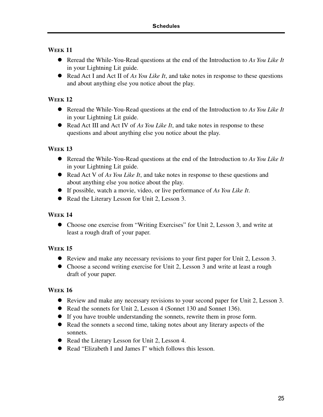- Reread the While-You-Read questions at the end of the Introduction to *As You Like It* in your Lightning Lit guide.
- Read Act I and Act II of *As You Like It*, and take notes in response to these questions and about anything else you notice about the play.

### **WEEK 12**

- Reread the While-You-Read questions at the end of the Introduction to *As You Like It* in your Lightning Lit guide.
- Read Act III and Act IV of *As You Like It*, and take notes in response to these questions and about anything else you notice about the play.

### **WEEK 13**

- Reread the While-You-Read questions at the end of the Introduction to *As You Like It* in your Lightning Lit guide.
- Read Act V of *As You Like It*, and take notes in response to these questions and about anything else you notice about the play.
- If possible, watch a movie, video, or live performance of *As You Like It*.
- Read the Literary Lesson for Unit 2, Lesson 3.

### **WEEK 14**

 Choose one exercise from "Writing Exercises" for Unit 2, Lesson 3, and write at least a rough draft of your paper.

### **WEEK 15**

- Review and make any necessary revisions to your first paper for Unit 2, Lesson 3.
- Choose a second writing exercise for Unit 2, Lesson 3 and write at least a rough draft of your paper.

- Review and make any necessary revisions to your second paper for Unit 2, Lesson 3.
- Read the sonnets for Unit 2, Lesson 4 (Sonnet 130 and Sonnet 136).
- If you have trouble understanding the sonnets, rewrite them in prose form.
- Read the sonnets a second time, taking notes about any literary aspects of the sonnets.
- Read the Literary Lesson for Unit 2, Lesson 4.
- Read "Elizabeth I and James I" which follows this lesson.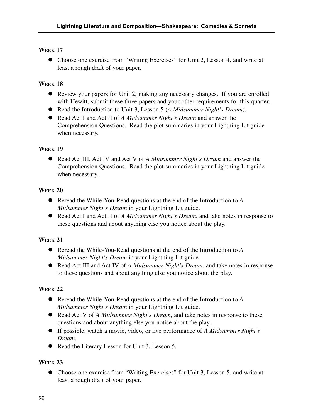Choose one exercise from "Writing Exercises" for Unit 2, Lesson 4, and write at least a rough draft of your paper.

# **WEEK 18**

- Review your papers for Unit 2, making any necessary changes. If you are enrolled with Hewitt, submit these three papers and your other requirements for this quarter.
- Read the Introduction to Unit 3, Lesson 5 (*A Midsummer Night's Dream*).
- Read Act I and Act II of *A Midsummer Night's Dream* and answer the Comprehension Questions. Read the plot summaries in your Lightning Lit guide when necessary.

### **WEEK 19**

 Read Act III, Act IV and Act V of *A Midsummer Night's Dream* and answer the Comprehension Questions. Read the plot summaries in your Lightning Lit guide when necessary.

### **WEEK 20**

- Reread the While-You-Read questions at the end of the Introduction to *A Midsummer Night's Dream* in your Lightning Lit guide.
- Read Act I and Act II of *A Midsummer Night's Dream*, and take notes in response to these questions and about anything else you notice about the play.

# **WEEK 21**

- Reread the While-You-Read questions at the end of the Introduction to *A Midsummer Night's Dream* in your Lightning Lit guide.
- Read Act III and Act IV of *A Midsummer Night's Dream*, and take notes in response to these questions and about anything else you notice about the play.

### **WEEK 22**

- Reread the While-You-Read questions at the end of the Introduction to *A Midsummer Night's Dream* in your Lightning Lit guide.
- Read Act V of *A Midsummer Night's Dream*, and take notes in response to these questions and about anything else you notice about the play.
- If possible, watch a movie, video, or live performance of *A Midsummer Night's Dream*.
- Read the Literary Lesson for Unit 3, Lesson 5.

### **WEEK 23**

 Choose one exercise from "Writing Exercises" for Unit 3, Lesson 5, and write at least a rough draft of your paper.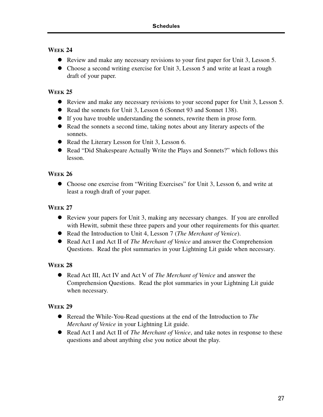- Review and make any necessary revisions to your first paper for Unit 3, Lesson 5.
- Choose a second writing exercise for Unit 3, Lesson 5 and write at least a rough draft of your paper.

### **WEEK 25**

- Review and make any necessary revisions to your second paper for Unit 3, Lesson 5.
- Read the sonnets for Unit 3, Lesson 6 (Sonnet 93 and Sonnet 138).
- If you have trouble understanding the sonnets, rewrite them in prose form.
- Read the sonnets a second time, taking notes about any literary aspects of the sonnets.
- Read the Literary Lesson for Unit 3, Lesson 6.
- Read "Did Shakespeare Actually Write the Plays and Sonnets?" which follows this lesson.

### **WEEK 26**

 Choose one exercise from "Writing Exercises" for Unit 3, Lesson 6, and write at least a rough draft of your paper.

### **WEEK 27**

- Review your papers for Unit 3, making any necessary changes. If you are enrolled with Hewitt, submit these three papers and your other requirements for this quarter.
- Read the Introduction to Unit 4, Lesson 7 (*The Merchant of Venice*).
- Read Act I and Act II of *The Merchant of Venice* and answer the Comprehension Questions. Read the plot summaries in your Lightning Lit guide when necessary.

### **WEEK 28**

 Read Act III, Act IV and Act V of *The Merchant of Venice* and answer the Comprehension Questions. Read the plot summaries in your Lightning Lit guide when necessary.

- Reread the While-You-Read questions at the end of the Introduction to *The Merchant of Venice* in your Lightning Lit guide.
- Read Act I and Act II of *The Merchant of Venice*, and take notes in response to these questions and about anything else you notice about the play.